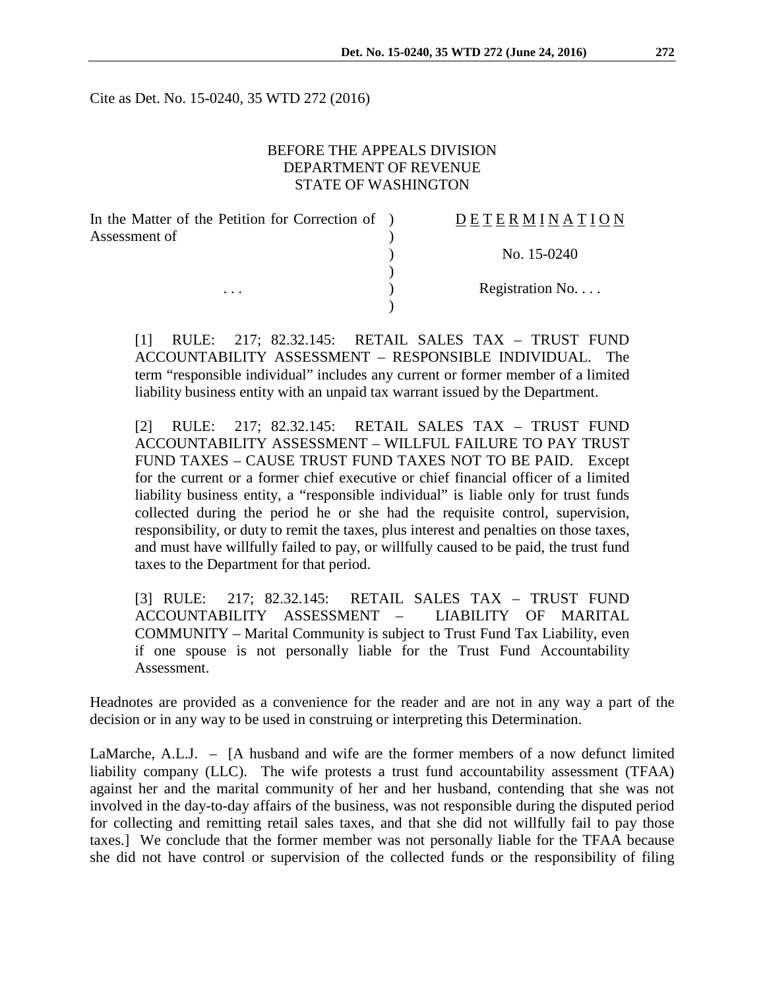Cite as Det. No. 15-0240, 35 WTD 272 (2016)

# BEFORE THE APPEALS DIVISION DEPARTMENT OF REVENUE STATE OF WASHINGTON

| In the Matter of the Petition for Correction of ) | <b>DETERMINATION</b> |
|---------------------------------------------------|----------------------|
| Assessment of                                     |                      |
|                                                   | No. 15-0240          |
|                                                   |                      |
| $\cdots$                                          | Registration No      |
|                                                   |                      |

[1] RULE: 217; 82.32.145: RETAIL SALES TAX – TRUST FUND ACCOUNTABILITY ASSESSMENT – RESPONSIBLE INDIVIDUAL. The term "responsible individual" includes any current or former member of a limited liability business entity with an unpaid tax warrant issued by the Department.

[2] RULE: 217; 82.32.145: RETAIL SALES TAX – TRUST FUND ACCOUNTABILITY ASSESSMENT – WILLFUL FAILURE TO PAY TRUST FUND TAXES – CAUSE TRUST FUND TAXES NOT TO BE PAID. Except for the current or a former chief executive or chief financial officer of a limited liability business entity, a "responsible individual" is liable only for trust funds collected during the period he or she had the requisite control, supervision, responsibility, or duty to remit the taxes, plus interest and penalties on those taxes, and must have willfully failed to pay, or willfully caused to be paid, the trust fund taxes to the Department for that period.

[3] RULE: 217; 82.32.145: RETAIL SALES TAX – TRUST FUND ACCOUNTABILITY ASSESSMENT – LIABILITY OF MARITAL COMMUNITY – Marital Community is subject to Trust Fund Tax Liability, even if one spouse is not personally liable for the Trust Fund Accountability Assessment.

Headnotes are provided as a convenience for the reader and are not in any way a part of the decision or in any way to be used in construing or interpreting this Determination.

LaMarche, A.L.J. – [A husband and wife are the former members of a now defunct limited liability company (LLC). The wife protests a trust fund accountability assessment (TFAA) against her and the marital community of her and her husband, contending that she was not involved in the day-to-day affairs of the business, was not responsible during the disputed period for collecting and remitting retail sales taxes, and that she did not willfully fail to pay those taxes.] We conclude that the former member was not personally liable for the TFAA because she did not have control or supervision of the collected funds or the responsibility of filing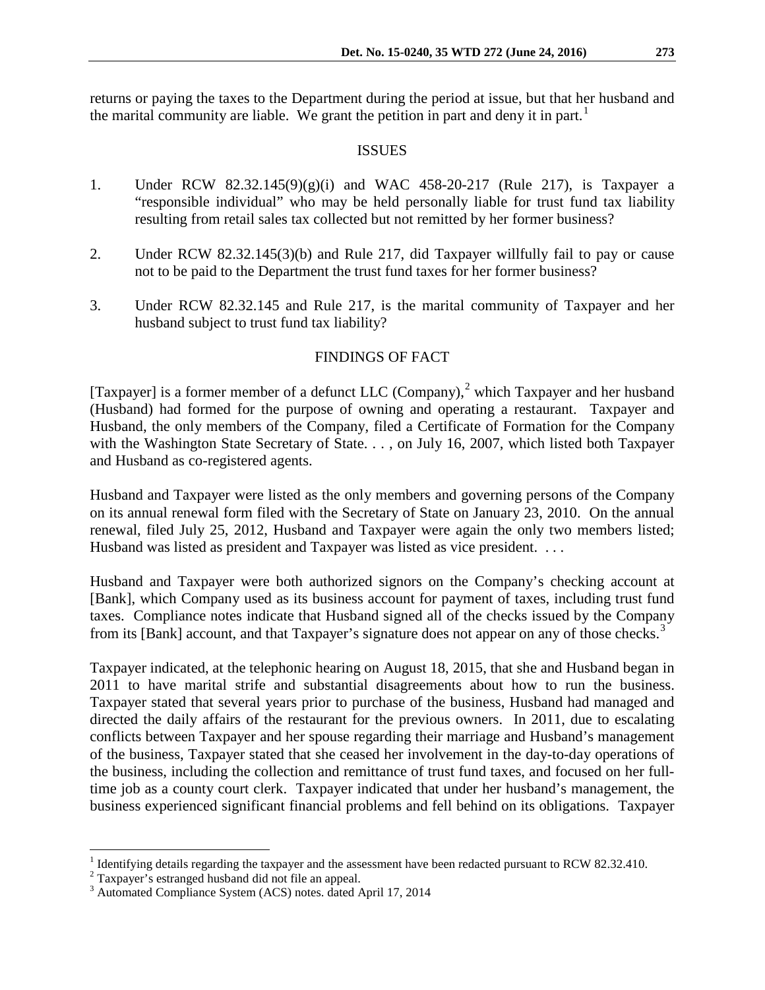returns or paying the taxes to the Department during the period at issue, but that her husband and the marital community are liable. We grant the petition in part and deny it in part.<sup>[1](#page-1-0)</sup>

#### ISSUES

- 1. Under RCW 82.32.145(9)(g)(i) and WAC 458-20-217 (Rule 217), is Taxpayer a "responsible individual" who may be held personally liable for trust fund tax liability resulting from retail sales tax collected but not remitted by her former business?
- 2. Under RCW 82.32.145(3)(b) and Rule 217, did Taxpayer willfully fail to pay or cause not to be paid to the Department the trust fund taxes for her former business?
- 3. Under RCW 82.32.145 and Rule 217, is the marital community of Taxpayer and her husband subject to trust fund tax liability?

# FINDINGS OF FACT

[Taxpayer] is a former member of a defunct LLC (Company),<sup>[2](#page-1-1)</sup> which Taxpayer and her husband (Husband) had formed for the purpose of owning and operating a restaurant. Taxpayer and Husband, the only members of the Company, filed a Certificate of Formation for the Company with the Washington State Secretary of State. . . , on July 16, 2007, which listed both Taxpayer and Husband as co-registered agents.

Husband and Taxpayer were listed as the only members and governing persons of the Company on its annual renewal form filed with the Secretary of State on January 23, 2010. On the annual renewal, filed July 25, 2012, Husband and Taxpayer were again the only two members listed; Husband was listed as president and Taxpayer was listed as vice president. ...

Husband and Taxpayer were both authorized signors on the Company's checking account at [Bank], which Company used as its business account for payment of taxes, including trust fund taxes. Compliance notes indicate that Husband signed all of the checks issued by the Company from its [Bank] account, and that Taxpayer's signature does not appear on any of those checks.<sup>[3](#page-1-2)</sup>

Taxpayer indicated, at the telephonic hearing on August 18, 2015, that she and Husband began in 2011 to have marital strife and substantial disagreements about how to run the business. Taxpayer stated that several years prior to purchase of the business, Husband had managed and directed the daily affairs of the restaurant for the previous owners. In 2011, due to escalating conflicts between Taxpayer and her spouse regarding their marriage and Husband's management of the business, Taxpayer stated that she ceased her involvement in the day-to-day operations of the business, including the collection and remittance of trust fund taxes, and focused on her fulltime job as a county court clerk. Taxpayer indicated that under her husband's management, the business experienced significant financial problems and fell behind on its obligations. Taxpayer

<sup>&</sup>lt;sup>1</sup> Identifying details regarding the taxpayer and the assessment have been redacted pursuant to RCW 82.32.410.

<span id="page-1-1"></span><span id="page-1-0"></span><sup>&</sup>lt;sup>2</sup> Taxpayer's estranged husband did not file an appeal.

<span id="page-1-2"></span><sup>3</sup> Automated Compliance System (ACS) notes. dated April 17, 2014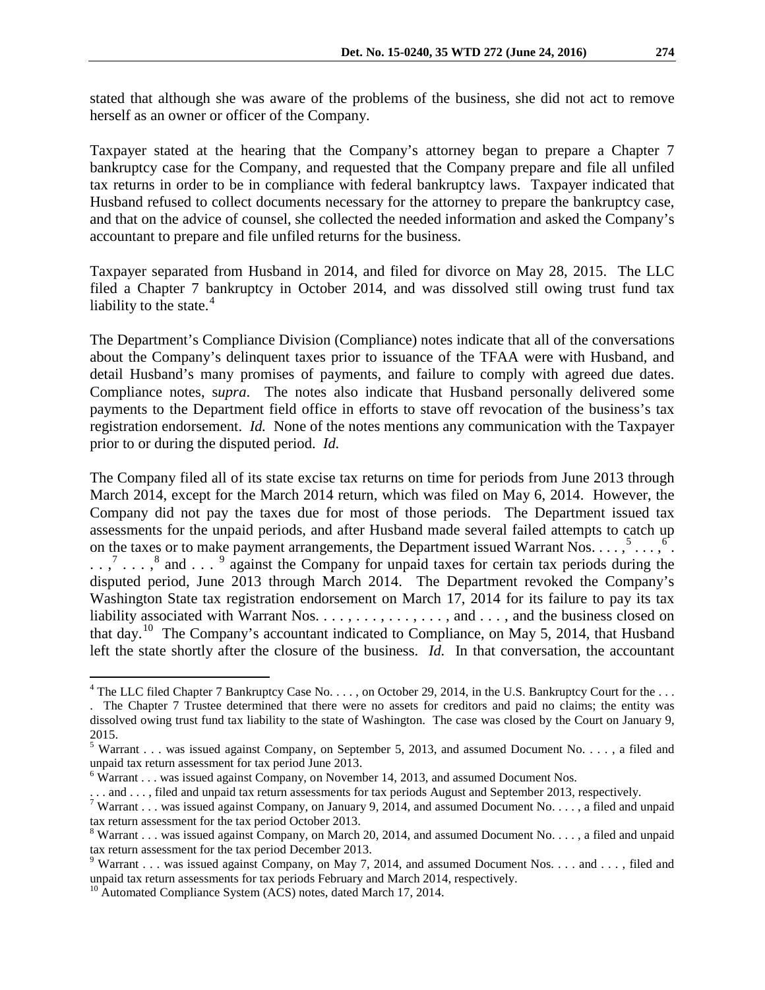stated that although she was aware of the problems of the business, she did not act to remove herself as an owner or officer of the Company.

Taxpayer stated at the hearing that the Company's attorney began to prepare a Chapter 7 bankruptcy case for the Company, and requested that the Company prepare and file all unfiled tax returns in order to be in compliance with federal bankruptcy laws. Taxpayer indicated that Husband refused to collect documents necessary for the attorney to prepare the bankruptcy case, and that on the advice of counsel, she collected the needed information and asked the Company's accountant to prepare and file unfiled returns for the business.

Taxpayer separated from Husband in 2014, and filed for divorce on May 28, 2015. The LLC filed a Chapter 7 bankruptcy in October 2014, and was dissolved still owing trust fund tax liability to the state.<sup>[4](#page-2-0)</sup>

The Department's Compliance Division (Compliance) notes indicate that all of the conversations about the Company's delinquent taxes prior to issuance of the TFAA were with Husband, and detail Husband's many promises of payments, and failure to comply with agreed due dates. Compliance notes, s*upra*. The notes also indicate that Husband personally delivered some payments to the Department field office in efforts to stave off revocation of the business's tax registration endorsement. *Id.* None of the notes mentions any communication with the Taxpayer prior to or during the disputed period. *Id.* 

The Company filed all of its state excise tax returns on time for periods from June 2013 through March 2014, except for the March 2014 return, which was filed on May 6, 2014. However, the Company did not pay the taxes due for most of those periods. The Department issued tax assessments for the unpaid periods, and after Husband made several failed attempts to catch up on the taxes or to make payment arrangements, the Department issued Warrant Nos.  $\dots$ ,  $5 \dots$  $5 \dots$ ,  $6$ .  $\ldots$ ,<sup>[7](#page-2-3)</sup>...,<sup>[8](#page-2-4)</sup> and ...<sup>[9](#page-2-5)</sup> against the Company for unpaid taxes for certain tax periods during the disputed period, June 2013 through March 2014. The Department revoked the Company's Washington State tax registration endorsement on March 17, 2014 for its failure to pay its tax liability associated with Warrant Nos. . . . , . . . , . . . , . . . , and . . . , and the business closed on that day.<sup>10</sup> The Company's accountant indicated to Compliance, on May 5, 2014, that Husband left the state shortly after the closure of the business. *Id.* In that conversation, the accountant

<span id="page-2-0"></span> $4$  The LLC filed Chapter 7 Bankruptcy Case No. . . . , on October 29, 2014, in the U.S. Bankruptcy Court for the . . .

<sup>.</sup> The Chapter 7 Trustee determined that there were no assets for creditors and paid no claims; the entity was dissolved owing trust fund tax liability to the state of Washington. The case was closed by the Court on January 9, 2015.

<span id="page-2-1"></span><sup>&</sup>lt;sup>5</sup> Warrant . . . was issued against Company, on September 5, 2013, and assumed Document No. . . . , a filed and unpaid tax return assessment for tax period June 2013.

<span id="page-2-2"></span><sup>&</sup>lt;sup>6</sup> Warrant . . . was issued against Company, on November 14, 2013, and assumed Document Nos.<br>. . . and . . . , filed and unpaid tax return assessments for tax periods August and September 2013, respectively.

<span id="page-2-3"></span><sup>&</sup>lt;sup>7</sup> Warrant . . . was issued against Company, on January 9, 2014, and assumed Document No. . . . , a filed and unpaid tax return assessment for the tax period October 2013.

<span id="page-2-4"></span> $8$  Warrant . . . was issued against Company, on March 20, 2014, and assumed Document No. . . . , a filed and unpaid tax return assessment for the tax period December 2013.

<span id="page-2-5"></span><sup>&</sup>lt;sup>9</sup> Warrant . . . was issued against Company, on May 7, 2014, and assumed Document Nos. . . . and . . . , filed and unpaid tax return assessments for tax periods February and March 2014, respectively.

<span id="page-2-6"></span><sup>&</sup>lt;sup>10</sup> Automated Compliance System (ACS) notes, dated March 17, 2014.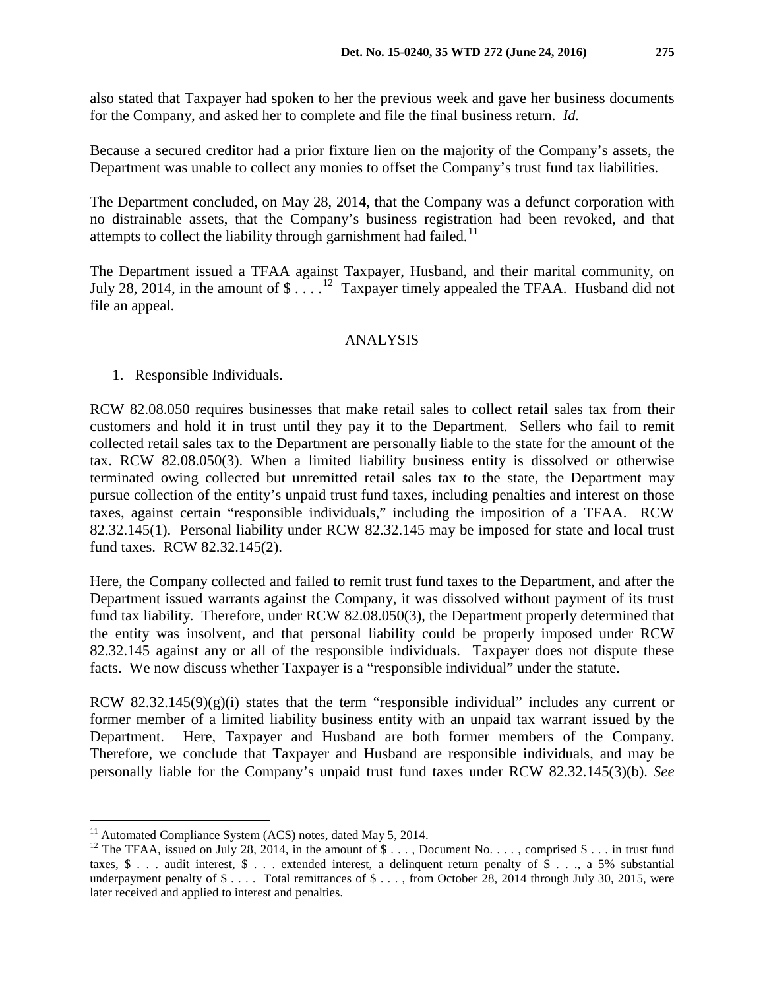also stated that Taxpayer had spoken to her the previous week and gave her business documents for the Company, and asked her to complete and file the final business return. *Id.*

Because a secured creditor had a prior fixture lien on the majority of the Company's assets, the Department was unable to collect any monies to offset the Company's trust fund tax liabilities.

The Department concluded, on May 28, 2014, that the Company was a defunct corporation with no distrainable assets, that the Company's business registration had been revoked, and that attempts to collect the liability through garnishment had failed.<sup>11</sup>

The Department issued a TFAA against Taxpayer, Husband, and their marital community, on July 28, 2014, in the amount of  $\frac{1}{2}$ ...<sup>12</sup> Taxpayer timely appealed the TFAA. Husband did not file an appeal.

# ANALYSIS

1. Responsible Individuals.

RCW 82.08.050 requires businesses that make retail sales to collect retail sales tax from their customers and hold it in trust until they pay it to the Department. Sellers who fail to remit collected retail sales tax to the Department are personally liable to the state for the amount of the tax. RCW 82.08.050(3). When a limited liability business entity is dissolved or otherwise terminated owing collected but unremitted retail sales tax to the state, the Department may pursue collection of the entity's unpaid trust fund taxes, including penalties and interest on those taxes, against certain "responsible individuals," including the imposition of a TFAA. RCW 82.32.145(1). Personal liability under RCW 82.32.145 may be imposed for state and local trust fund taxes. RCW 82.32.145(2).

Here, the Company collected and failed to remit trust fund taxes to the Department, and after the Department issued warrants against the Company, it was dissolved without payment of its trust fund tax liability. Therefore, under RCW 82.08.050(3), the Department properly determined that the entity was insolvent, and that personal liability could be properly imposed under RCW 82.32.145 against any or all of the responsible individuals. Taxpayer does not dispute these facts. We now discuss whether Taxpayer is a "responsible individual" under the statute.

RCW  $82.32.145(9)(g)(i)$  states that the term "responsible individual" includes any current or former member of a limited liability business entity with an unpaid tax warrant issued by the Department. Here, Taxpayer and Husband are both former members of the Company. Therefore, we conclude that Taxpayer and Husband are responsible individuals, and may be personally liable for the Company's unpaid trust fund taxes under RCW 82.32.145(3)(b). *See* 

<span id="page-3-1"></span><span id="page-3-0"></span><sup>&</sup>lt;sup>11</sup> Automated Compliance System (ACS) notes, dated May 5, 2014.<br><sup>12</sup> The TFAA, issued on July 28, 2014, in the amount of \$ . . . , Document No. . . . , comprised \$ . . . in trust fund taxes,  $\$\ldots$  audit interest,  $\$\ldots$  extended interest, a delinquent return penalty of  $\$\ldots$  a 5% substantial underpayment penalty of \$ . . . . Total remittances of \$ . . . , from October 28, 2014 through July 30, 2015, were later received and applied to interest and penalties.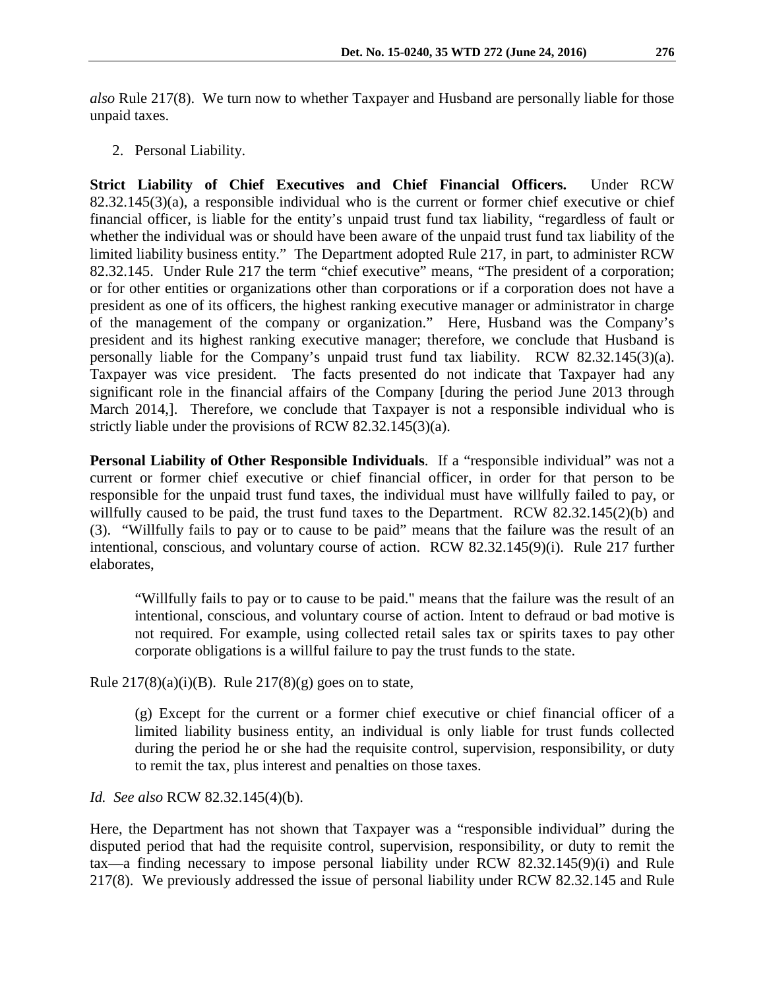*also* Rule 217(8). We turn now to whether Taxpayer and Husband are personally liable for those unpaid taxes.

2. Personal Liability.

**Strict Liability of Chief Executives and Chief Financial Officers.** Under RCW 82.32.145(3)(a), a responsible individual who is the current or former chief executive or chief financial officer, is liable for the entity's unpaid trust fund tax liability, "regardless of fault or whether the individual was or should have been aware of the unpaid trust fund tax liability of the limited liability business entity." The Department adopted Rule 217, in part, to administer RCW 82.32.145. Under Rule 217 the term "chief executive" means, "The president of a corporation; or for other entities or organizations other than corporations or if a corporation does not have a president as one of its officers, the highest ranking executive manager or administrator in charge of the management of the company or organization." Here, Husband was the Company's president and its highest ranking executive manager; therefore, we conclude that Husband is personally liable for the Company's unpaid trust fund tax liability. RCW 82.32.145(3)(a). Taxpayer was vice president. The facts presented do not indicate that Taxpayer had any significant role in the financial affairs of the Company [during the period June 2013 through March 2014,]. Therefore, we conclude that Taxpayer is not a responsible individual who is strictly liable under the provisions of RCW 82.32.145(3)(a).

**Personal Liability of Other Responsible Individuals**. If a "responsible individual" was not a current or former chief executive or chief financial officer, in order for that person to be responsible for the unpaid trust fund taxes, the individual must have willfully failed to pay, or willfully caused to be paid, the trust fund taxes to the Department. RCW 82.32.145(2)(b) and (3). "Willfully fails to pay or to cause to be paid" means that the failure was the result of an intentional, conscious, and voluntary course of action. RCW 82.32.145(9)(i). Rule 217 further elaborates,

"Willfully fails to pay or to cause to be paid." means that the failure was the result of an intentional, conscious, and voluntary course of action. Intent to defraud or bad motive is not required. For example, using collected retail sales tax or spirits taxes to pay other corporate obligations is a willful failure to pay the trust funds to the state.

Rule  $217(8)(a)(i)(B)$ . Rule  $217(8)(g)$  goes on to state,

(g) Except for the current or a former chief executive or chief financial officer of a limited liability business entity, an individual is only liable for trust funds collected during the period he or she had the requisite control, supervision, responsibility, or duty to remit the tax, plus interest and penalties on those taxes.

*Id. See also* RCW 82.32.145(4)(b).

Here, the Department has not shown that Taxpayer was a "responsible individual" during the disputed period that had the requisite control, supervision, responsibility, or duty to remit the tax—a finding necessary to impose personal liability under RCW 82.32.145(9)(i) and Rule 217(8). We previously addressed the issue of personal liability under RCW 82.32.145 and Rule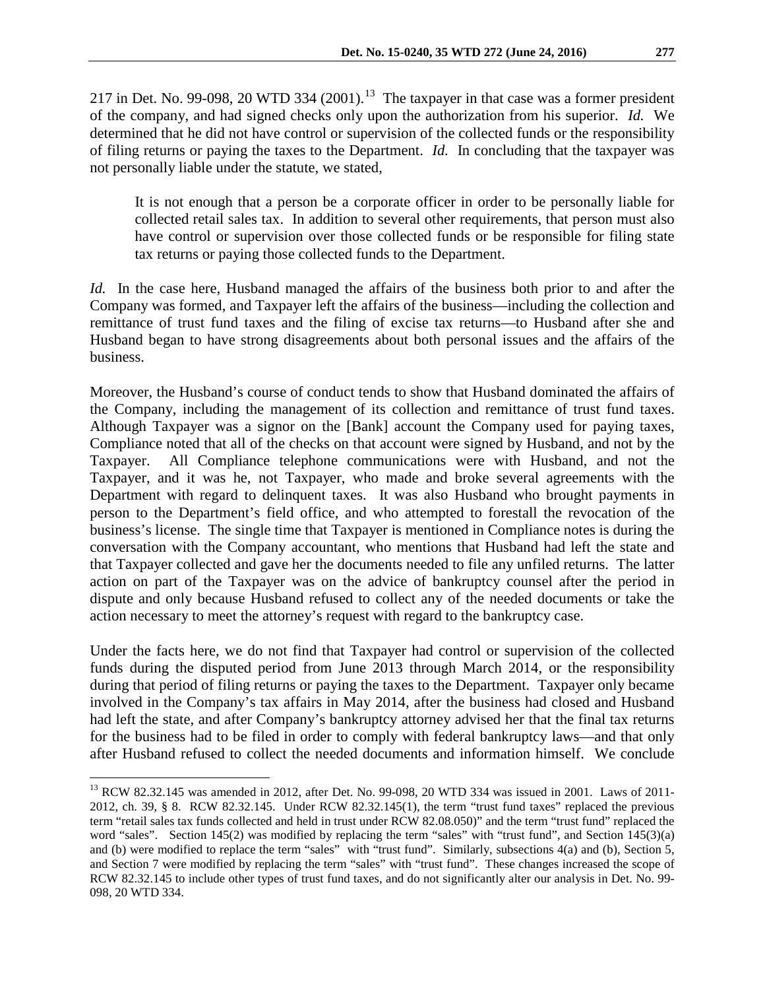217 in Det. No. 99-098, 20 WTD 334  $(2001)$ .<sup>[13](#page-5-0)</sup> The taxpayer in that case was a former president of the company, and had signed checks only upon the authorization from his superior. *Id.* We determined that he did not have control or supervision of the collected funds or the responsibility of filing returns or paying the taxes to the Department. *Id.* In concluding that the taxpayer was not personally liable under the statute, we stated,

It is not enough that a person be a corporate officer in order to be personally liable for collected retail sales tax. In addition to several other requirements, that person must also have control or supervision over those collected funds or be responsible for filing state tax returns or paying those collected funds to the Department.

*Id.* In the case here, Husband managed the affairs of the business both prior to and after the Company was formed, and Taxpayer left the affairs of the business—including the collection and remittance of trust fund taxes and the filing of excise tax returns—to Husband after she and Husband began to have strong disagreements about both personal issues and the affairs of the business.

Moreover, the Husband's course of conduct tends to show that Husband dominated the affairs of the Company, including the management of its collection and remittance of trust fund taxes. Although Taxpayer was a signor on the [Bank] account the Company used for paying taxes, Compliance noted that all of the checks on that account were signed by Husband, and not by the Taxpayer. All Compliance telephone communications were with Husband, and not the Taxpayer, and it was he, not Taxpayer, who made and broke several agreements with the Department with regard to delinquent taxes. It was also Husband who brought payments in person to the Department's field office, and who attempted to forestall the revocation of the business's license. The single time that Taxpayer is mentioned in Compliance notes is during the conversation with the Company accountant, who mentions that Husband had left the state and that Taxpayer collected and gave her the documents needed to file any unfiled returns. The latter action on part of the Taxpayer was on the advice of bankruptcy counsel after the period in dispute and only because Husband refused to collect any of the needed documents or take the action necessary to meet the attorney's request with regard to the bankruptcy case.

Under the facts here, we do not find that Taxpayer had control or supervision of the collected funds during the disputed period from June 2013 through March 2014, or the responsibility during that period of filing returns or paying the taxes to the Department. Taxpayer only became involved in the Company's tax affairs in May 2014, after the business had closed and Husband had left the state, and after Company's bankruptcy attorney advised her that the final tax returns for the business had to be filed in order to comply with federal bankruptcy laws—and that only after Husband refused to collect the needed documents and information himself. We conclude

<span id="page-5-0"></span><sup>&</sup>lt;sup>13</sup> RCW 82.32.145 was amended in 2012, after Det. No. 99-098, 20 WTD 334 was issued in 2001. Laws of 2011-2012, ch. 39, § 8. RCW 82.32.145. Under RCW 82.32.145(1), the term "trust fund taxes" replaced the previous term "retail sales tax funds collected and held in trust under RCW 82.08.050)" and the term "trust fund" replaced the word "sales". Section 145(2) was modified by replacing the term "sales" with "trust fund", and Section 145(3)(a) and (b) were modified to replace the term "sales" with "trust fund". Similarly, subsections 4(a) and (b), Section 5, and Section 7 were modified by replacing the term "sales" with "trust fund". These changes increased the scope of RCW 82.32.145 to include other types of trust fund taxes, and do not significantly alter our analysis in Det. No. 99- 098, 20 WTD 334.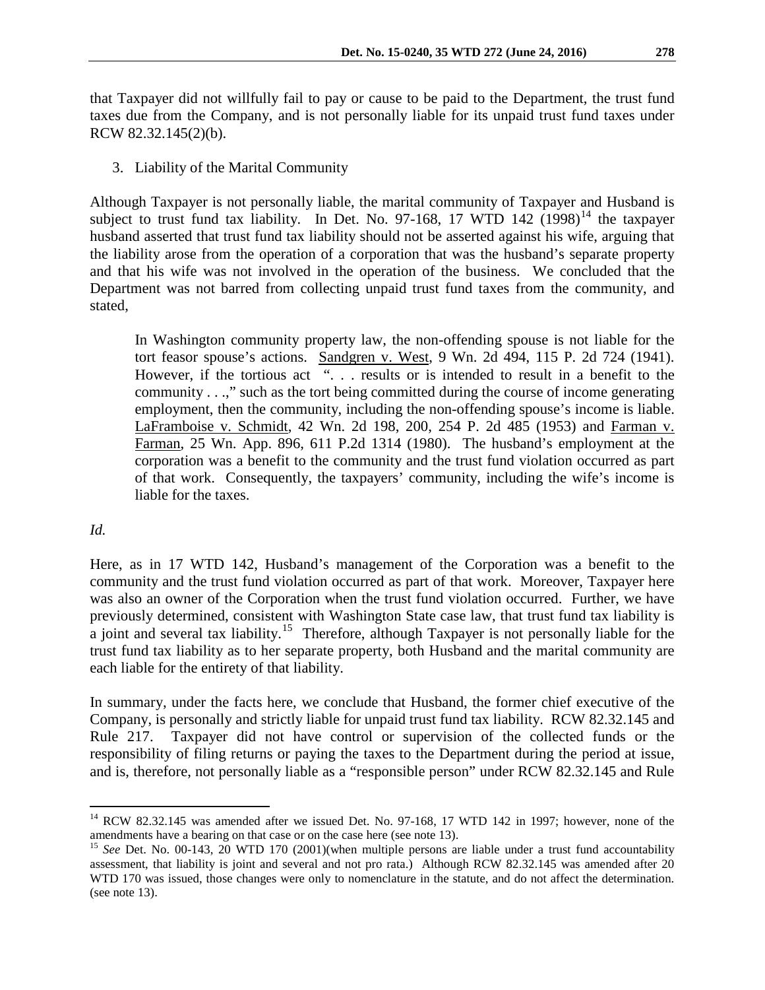that Taxpayer did not willfully fail to pay or cause to be paid to the Department, the trust fund taxes due from the Company, and is not personally liable for its unpaid trust fund taxes under RCW 82.32.145(2)(b).

3. Liability of the Marital Community

Although Taxpayer is not personally liable, the marital community of Taxpayer and Husband is subject to trust fund tax liability. In Det. No. 97-168, 17 WTD [14](#page-6-0)2  $(1998)^{14}$  the taxpayer husband asserted that trust fund tax liability should not be asserted against his wife, arguing that the liability arose from the operation of a corporation that was the husband's separate property and that his wife was not involved in the operation of the business. We concluded that the Department was not barred from collecting unpaid trust fund taxes from the community, and stated,

In Washington community property law, the non-offending spouse is not liable for the tort feasor spouse's actions. Sandgren v. West, 9 Wn. 2d 494, 115 P. 2d 724 (1941). However, if the tortious act ". . . results or is intended to result in a benefit to the community . . .," such as the tort being committed during the course of income generating employment, then the community, including the non-offending spouse's income is liable. LaFramboise v. Schmidt, 42 Wn. 2d 198, 200, 254 P. 2d 485 (1953) and Farman v. Farman, 25 Wn. App. 896, 611 P.2d 1314 (1980). The husband's employment at the corporation was a benefit to the community and the trust fund violation occurred as part of that work. Consequently, the taxpayers' community, including the wife's income is liable for the taxes.

# *Id.*

Here, as in 17 WTD 142, Husband's management of the Corporation was a benefit to the community and the trust fund violation occurred as part of that work. Moreover, Taxpayer here was also an owner of the Corporation when the trust fund violation occurred. Further, we have previously determined, consistent with Washington State case law, that trust fund tax liability is a joint and several tax liability.[15](#page-6-1) Therefore, although Taxpayer is not personally liable for the trust fund tax liability as to her separate property, both Husband and the marital community are each liable for the entirety of that liability.

In summary, under the facts here, we conclude that Husband, the former chief executive of the Company, is personally and strictly liable for unpaid trust fund tax liability. RCW 82.32.145 and Rule 217. Taxpayer did not have control or supervision of the collected funds or the responsibility of filing returns or paying the taxes to the Department during the period at issue, and is, therefore, not personally liable as a "responsible person" under RCW 82.32.145 and Rule

<span id="page-6-0"></span><sup>&</sup>lt;sup>14</sup> RCW 82.32.145 was amended after we issued Det. No. 97-168, 17 WTD 142 in 1997; however, none of the amendments have a bearing on that case or on the case here (see note 13).

<span id="page-6-1"></span><sup>&</sup>lt;sup>15</sup> *See* Det. No. 00-143, 20 WTD 170 (2001)(when multiple persons are liable under a trust fund accountability assessment, that liability is joint and several and not pro rata.) Although RCW 82.32.145 was amended after 20 WTD 170 was issued, those changes were only to nomenclature in the statute, and do not affect the determination. (see note 13).